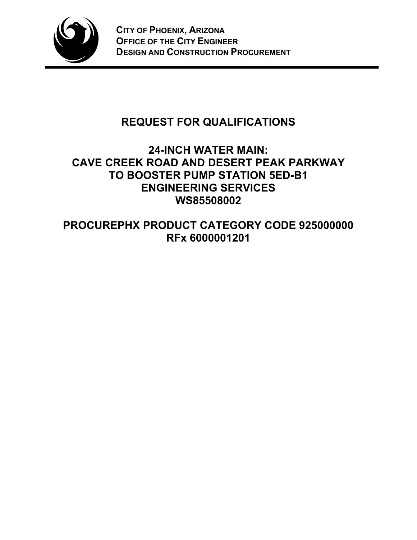

# **REQUEST FOR QUALIFICATIONS**

# **24-INCH WATER MAIN: CAVE CREEK ROAD AND DESERT PEAK PARKWAY TO BOOSTER PUMP STATION 5ED-B1 ENGINEERING SERVICES WS85508002**

**PROCUREPHX PRODUCT CATEGORY CODE 925000000 RFx 6000001201**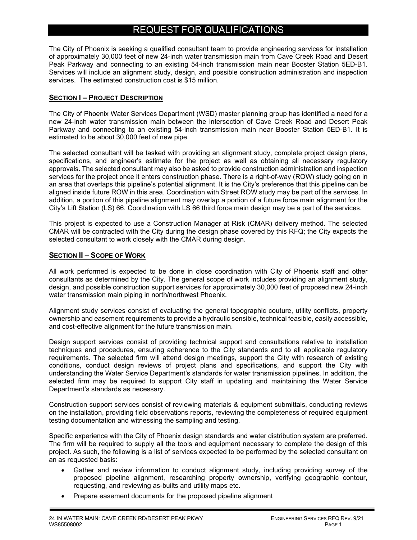# REQUEST FOR QUALIFICATIONS

The City of Phoenix is seeking a qualified consultant team to provide engineering services for installation of approximately 30,000 feet of new 24-inch water transmission main from Cave Creek Road and Desert Peak Parkway and connecting to an existing 54-inch transmission main near Booster Station 5ED-B1. Services will include an alignment study, design, and possible construction administration and inspection services. The estimated construction cost is \$15 million.

# **SECTION I – PROJECT DESCRIPTION**

The City of Phoenix Water Services Department (WSD) master planning group has identified a need for a new 24-inch water transmission main between the intersection of Cave Creek Road and Desert Peak Parkway and connecting to an existing 54-inch transmission main near Booster Station 5ED-B1. It is estimated to be about 30,000 feet of new pipe.

The selected consultant will be tasked with providing an alignment study, complete project design plans, specifications, and engineer's estimate for the project as well as obtaining all necessary regulatory approvals. The selected consultant may also be asked to provide construction administration and inspection services for the project once it enters construction phase. There is a right-of-way (ROW) study going on in an area that overlaps this pipeline's potential alignment. It is the City's preference that this pipeline can be aligned inside future ROW in this area. Coordination with Street ROW study may be part of the services. In addition, a portion of this pipeline alignment may overlap a portion of a future force main alignment for the City's Lift Station (LS) 66. Coordination with LS 66 third force main design may be a part of the services.

This project is expected to use a Construction Manager at Risk (CMAR) delivery method. The selected CMAR will be contracted with the City during the design phase covered by this RFQ; the City expects the selected consultant to work closely with the CMAR during design.

# **SECTION II – SCOPE OF WORK**

All work performed is expected to be done in close coordination with City of Phoenix staff and other consultants as determined by the City. The general scope of work includes providing an alignment study, design, and possible construction support services for approximately 30,000 feet of proposed new 24-inch water transmission main piping in north/northwest Phoenix.

Alignment study services consist of evaluating the general topographic couture, utility conflicts, property ownership and easement requirements to provide a hydraulic sensible, technical feasible, easily accessible, and cost-effective alignment for the future transmission main.

Design support services consist of providing technical support and consultations relative to installation techniques and procedures, ensuring adherence to the City standards and to all applicable regulatory requirements. The selected firm will attend design meetings, support the City with research of existing conditions, conduct design reviews of project plans and specifications, and support the City with understanding the Water Service Department's standards for water transmission pipelines. In addition, the selected firm may be required to support City staff in updating and maintaining the Water Service Department's standards as necessary.

Construction support services consist of reviewing materials & equipment submittals, conducting reviews on the installation, providing field observations reports, reviewing the completeness of required equipment testing documentation and witnessing the sampling and testing.

Specific experience with the City of Phoenix design standards and water distribution system are preferred. The firm will be required to supply all the tools and equipment necessary to complete the design of this project. As such, the following is a list of services expected to be performed by the selected consultant on an as requested basis:

- Gather and review information to conduct alignment study, including providing survey of the proposed pipeline alignment, researching property ownership, verifying geographic contour, requesting, and reviewing as-builts and utility maps etc.
- Prepare easement documents for the proposed pipeline alignment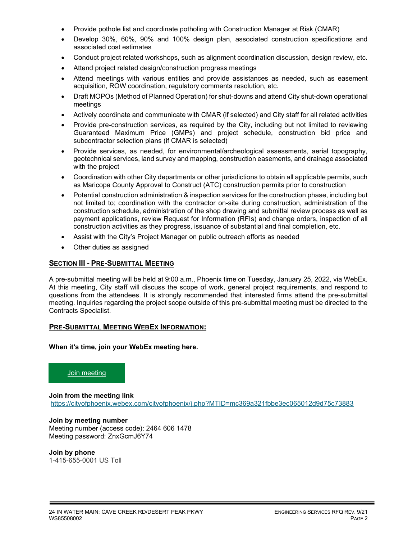- Provide pothole list and coordinate potholing with Construction Manager at Risk (CMAR)
- Develop 30%, 60%, 90% and 100% design plan, associated construction specifications and associated cost estimates
- Conduct project related workshops, such as alignment coordination discussion, design review, etc.
- Attend project related design/construction progress meetings
- Attend meetings with various entities and provide assistances as needed, such as easement acquisition, ROW coordination, regulatory comments resolution, etc.
- Draft MOPOs (Method of Planned Operation) for shut-downs and attend City shut-down operational meetings
- Actively coordinate and communicate with CMAR (if selected) and City staff for all related activities
- Provide pre-construction services, as required by the City, including but not limited to reviewing Guaranteed Maximum Price (GMPs) and project schedule, construction bid price and subcontractor selection plans (if CMAR is selected)
- Provide services, as needed, for environmental/archeological assessments, aerial topography, geotechnical services, land survey and mapping, construction easements, and drainage associated with the project
- Coordination with other City departments or other jurisdictions to obtain all applicable permits, such as Maricopa County Approval to Construct (ATC) construction permits prior to construction
- Potential construction administration & inspection services for the construction phase, including but not limited to; coordination with the contractor on-site during construction, administration of the construction schedule, administration of the shop drawing and submittal review process as well as payment applications, review Request for Information (RFIs) and change orders, inspection of all construction activities as they progress, issuance of substantial and final completion, etc.
- Assist with the City's Project Manager on public outreach efforts as needed
- Other duties as assigned

#### **SECTION III - PRE-SUBMITTAL MEETING**

A pre-submittal meeting will be held at 9:00 a.m., Phoenix time on Tuesday, January 25, 2022, via WebEx. At this meeting, City staff will discuss the scope of work, general project requirements, and respond to questions from the attendees. It is strongly recommended that interested firms attend the pre-submittal meeting. Inquiries regarding the project scope outside of this pre-submittal meeting must be directed to the Contracts Specialist.

#### **PRE-SUBMITTAL MEETING WEBEX INFORMATION:**

**When it's time, join your WebEx meeting here.** 

### [Join meeting](https://cityofphoenix.webex.com/cityofphoenix/j.php?MTID=mc369a321fbbe3ec065012d9d75c73883)

**Join from the meeting link** <https://cityofphoenix.webex.com/cityofphoenix/j.php?MTID=mc369a321fbbe3ec065012d9d75c73883>

# **Join by meeting number**

Meeting number (access code): 2464 606 1478 Meeting password: ZnxGcmJ6Y74

#### **Join by phone**

1-415-655-0001 US Toll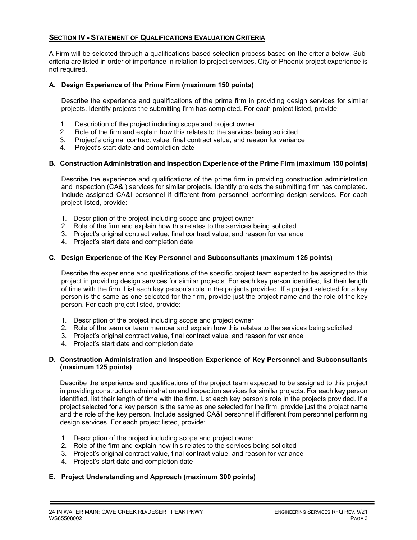# **SECTION IV - STATEMENT OF QUALIFICATIONS EVALUATION CRITERIA**

A Firm will be selected through a qualifications-based selection process based on the criteria below. Subcriteria are listed in order of importance in relation to project services. City of Phoenix project experience is not required.

#### **A. Design Experience of the Prime Firm (maximum 150 points)**

Describe the experience and qualifications of the prime firm in providing design services for similar projects. Identify projects the submitting firm has completed. For each project listed, provide:

- 1. Description of the project including scope and project owner
- 2. Role of the firm and explain how this relates to the services being solicited
- 3. Project's original contract value, final contract value, and reason for variance
- 4. Project's start date and completion date

#### **B. Construction Administration and Inspection Experience of the Prime Firm (maximum 150 points)**

Describe the experience and qualifications of the prime firm in providing construction administration and inspection (CA&I) services for similar projects. Identify projects the submitting firm has completed. Include assigned CA&I personnel if different from personnel performing design services. For each project listed, provide:

- 1. Description of the project including scope and project owner
- 2. Role of the firm and explain how this relates to the services being solicited
- 3. Project's original contract value, final contract value, and reason for variance
- 4. Project's start date and completion date

#### **C. Design Experience of the Key Personnel and Subconsultants (maximum 125 points)**

Describe the experience and qualifications of the specific project team expected to be assigned to this project in providing design services for similar projects. For each key person identified, list their length of time with the firm. List each key person's role in the projects provided. If a project selected for a key person is the same as one selected for the firm, provide just the project name and the role of the key person. For each project listed, provide:

- 1. Description of the project including scope and project owner
- 2. Role of the team or team member and explain how this relates to the services being solicited
- 3. Project's original contract value, final contract value, and reason for variance
- 4. Project's start date and completion date

#### **D. Construction Administration and Inspection Experience of Key Personnel and Subconsultants (maximum 125 points)**

Describe the experience and qualifications of the project team expected to be assigned to this project in providing construction administration and inspection services for similar projects. For each key person identified, list their length of time with the firm. List each key person's role in the projects provided. If a project selected for a key person is the same as one selected for the firm, provide just the project name and the role of the key person. Include assigned CA&I personnel if different from personnel performing design services. For each project listed, provide:

- 1. Description of the project including scope and project owner
- 2. Role of the firm and explain how this relates to the services being solicited
- 3. Project's original contract value, final contract value, and reason for variance
- 4. Project's start date and completion date

### **E. Project Understanding and Approach (maximum 300 points)**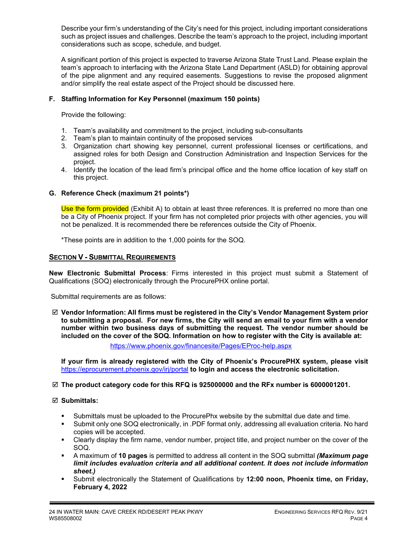Describe your firm's understanding of the City's need for this project, including important considerations such as project issues and challenges. Describe the team's approach to the project, including important considerations such as scope, schedule, and budget.

A significant portion of this project is expected to traverse Arizona State Trust Land. Please explain the team's approach to interfacing with the Arizona State Land Department (ASLD) for obtaining approval of the pipe alignment and any required easements. Suggestions to revise the proposed alignment and/or simplify the real estate aspect of the Project should be discussed here.

# **F. Staffing Information for Key Personnel (maximum 150 points)**

Provide the following:

- 1. Team's availability and commitment to the project, including sub-consultants
- 2. Team's plan to maintain continuity of the proposed services
- 3. Organization chart showing key personnel, current professional licenses or certifications, and assigned roles for both Design and Construction Administration and Inspection Services for the project.
- 4. Identify the location of the lead firm's principal office and the home office location of key staff on this project.

# **G. Reference Check (maximum 21 points\*)**

Use the form provided (Exhibit A) to obtain at least three references. It is preferred no more than one be a City of Phoenix project. If your firm has not completed prior projects with other agencies, you will not be penalized. It is recommended there be references outside the City of Phoenix.

\*These points are in addition to the 1,000 points for the SOQ.

# **SECTION V - SUBMITTAL REQUIREMENTS**

**New Electronic Submittal Process**: Firms interested in this project must submit a Statement of Qualifications (SOQ) electronically through the ProcurePHX online portal.

Submittal requirements are as follows:

 **Vendor Information: All firms must be registered in the City's Vendor Management System prior to submitting a proposal. For new firms, the City will send an email to your firm with a vendor number within two business days of submitting the request. The vendor number should be included on the cover of the SOQ. Information on how to register with the City is available at:** 

<https://www.phoenix.gov/financesite/Pages/EProc-help.aspx>

**If your firm is already registered with the City of Phoenix's ProcurePHX system, please visit**  <https://eprocurement.phoenix.gov/irj/portal> **to login and access the electronic solicitation.**

### **The product category code for this RFQ is 925000000 and the RFx number is 6000001201.**

### **Submittals:**

- Submittals must be uploaded to the ProcurePhx website by the submittal due date and time.
- Submit only one SOQ electronically, in .PDF format only, addressing all evaluation criteria. No hard copies will be accepted.
- Clearly display the firm name, vendor number, project title, and project number on the cover of the SOQ.
- A maximum of **10 pages** is permitted to address all content in the SOQ submittal *(Maximum page limit includes evaluation criteria and all additional content. It does not include information sheet.)*
- Submit electronically the Statement of Qualifications by **12:00 noon, Phoenix time, on Friday, February 4, 2022**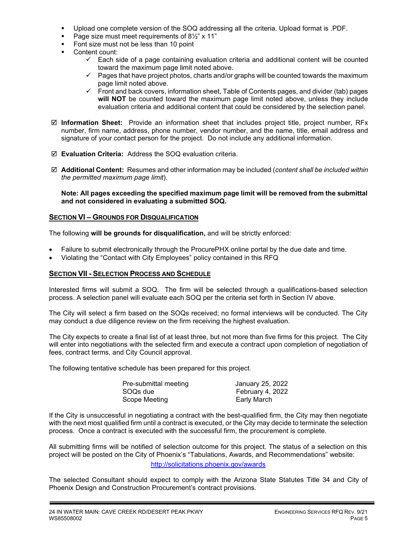- Upload one complete version of the SOQ addressing all the criteria. Upload format is .PDF.
- Page size must meet requirements of 8<sup>1/2</sup>" x 11"
- Font size must not be less than 10 point
- Content count:
	- $\checkmark$  Each side of a page containing evaluation criteria and additional content will be counted toward the maximum page limit noted above.
	- $\checkmark$  Pages that have project photos, charts and/or graphs will be counted towards the maximum page limit noted above.
	- $\checkmark$  Front and back covers, information sheet, Table of Contents pages, and divider (tab) pages **will NOT** be counted toward the maximum page limit noted above, unless they include evaluation criteria and additional content that could be considered by the selection panel.
- **Information Sheet:** Provide an information sheet that includes project title, project number, RFx number, firm name, address, phone number, vendor number, and the name, title, email address and signature of your contact person for the project. Do not include any additional information.
- **Evaluation Criteria:** Address the SOQ evaluation criteria.
- **Additional Content:** Resumes and other information may be included (*content shall be included within the permitted maximum page limit*).

#### **Note: All pages exceeding the specified maximum page limit will be removed from the submittal and not considered in evaluating a submitted SOQ.**

#### **SECTION VI – GROUNDS FOR DISQUALIFICATION**

The following **will be grounds for disqualification,** and will be strictly enforced:

- Failure to submit electronically through the ProcurePHX online portal by the due date and time.
- Violating the "Contact with City Employees" policy contained in this RFQ

#### **SECTION VII - SELECTION PROCESS AND SCHEDULE**

Interested firms will submit a SOQ. The firm will be selected through a qualifications-based selection process. A selection panel will evaluate each SOQ per the criteria set forth in Section IV above.

The City will select a firm based on the SOQs received; no formal interviews will be conducted. The City may conduct a due diligence review on the firm receiving the highest evaluation.

The City expects to create a final list of at least three, but not more than five firms for this project. The City will enter into negotiations with the selected firm and execute a contract upon completion of negotiation of fees, contract terms, and City Council approval.

The following tentative schedule has been prepared for this project.

| Pre-submittal meeting | January 25, 2022 |
|-----------------------|------------------|
| SOQs due              | February 4, 2022 |
| Scope Meeting         | Early March      |

If the City is unsuccessful in negotiating a contract with the best-qualified firm, the City may then negotiate with the next most qualified firm until a contract is executed, or the City may decide to terminate the selection process. Once a contract is executed with the successful firm, the procurement is complete.

All submitting firms will be notified of selection outcome for this project. The status of a selection on this project will be posted on the City of Phoenix's "Tabulations, Awards, and Recommendations" website:

#### <http://solicitations.phoenix.gov/awards>

The selected Consultant should expect to comply with the Arizona State Statutes Title 34 and City of Phoenix Design and Construction Procurement's contract provisions.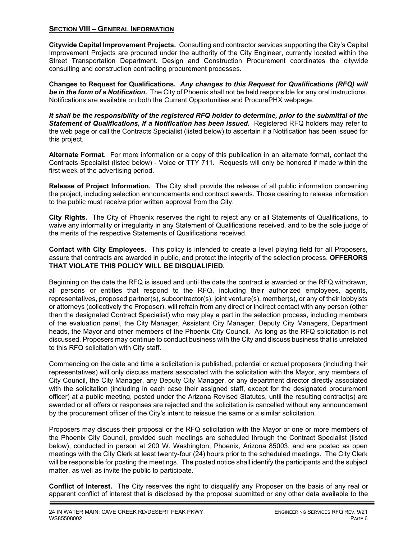# **SECTION VIII – GENERAL INFORMATION**

**Citywide Capital Improvement Projects.** Consulting and contractor services supporting the City's Capital Improvement Projects are procured under the authority of the City Engineer, currently located within the Street Transportation Department. Design and Construction Procurement coordinates the citywide consulting and construction contracting procurement processes.

**Changes to Request for Qualifications.** *Any changes to this Request for Qualifications (RFQ) will be in the form of a Notification.* The City of Phoenix shall not be held responsible for any oral instructions. Notifications are available on both the Current Opportunities and ProcurePHX webpage.

*It shall be the responsibility of the registered RFQ holder to determine, prior to the submittal of the Statement of Qualifications, if a Notification has been issued***.** Registered RFQ holders may refer to the web page or call the Contracts Specialist (listed below) to ascertain if a Notification has been issued for this project.

**Alternate Format.** For more information or a copy of this publication in an alternate format, contact the Contracts Specialist (listed below) - Voice or TTY 711. Requests will only be honored if made within the first week of the advertising period.

**Release of Project Information.** The City shall provide the release of all public information concerning the project, including selection announcements and contract awards. Those desiring to release information to the public must receive prior written approval from the City.

**City Rights.** The City of Phoenix reserves the right to reject any or all Statements of Qualifications, to waive any informality or irregularity in any Statement of Qualifications received, and to be the sole judge of the merits of the respective Statements of Qualifications received.

**Contact with City Employees.** This policy is intended to create a level playing field for all Proposers, assure that contracts are awarded in public, and protect the integrity of the selection process. **OFFERORS THAT VIOLATE THIS POLICY WILL BE DISQUALIFIED.**

Beginning on the date the RFQ is issued and until the date the contract is awarded or the RFQ withdrawn, all persons or entities that respond to the RFQ, including their authorized employees, agents, representatives, proposed partner(s), subcontractor(s), joint venture(s), member(s), or any of their lobbyists or attorneys (collectively the Proposer), will refrain from any direct or indirect contact with any person (other than the designated Contract Specialist) who may play a part in the selection process, including members of the evaluation panel, the City Manager, Assistant City Manager, Deputy City Managers, Department heads, the Mayor and other members of the Phoenix City Council. As long as the RFQ solicitation is not discussed, Proposers may continue to conduct business with the City and discuss business that is unrelated to this RFQ solicitation with City staff.

Commencing on the date and time a solicitation is published, potential or actual proposers (including their representatives) will only discuss matters associated with the solicitation with the Mayor, any members of City Council, the City Manager, any Deputy City Manager, or any department director directly associated with the solicitation (including in each case their assigned staff, except for the designated procurement officer) at a public meeting, posted under the Arizona Revised Statutes, until the resulting contract(s) are awarded or all offers or responses are rejected and the solicitation is cancelled without any announcement by the procurement officer of the City's intent to reissue the same or a similar solicitation.

Proposers may discuss their proposal or the RFQ solicitation with the Mayor or one or more members of the Phoenix City Council, provided such meetings are scheduled through the Contract Specialist (listed below), conducted in person at 200 W. Washington, Phoenix, Arizona 85003, and are posted as open meetings with the City Clerk at least twenty-four (24) hours prior to the scheduled meetings. The City Clerk will be responsible for posting the meetings. The posted notice shall identify the participants and the subject matter, as well as invite the public to participate.

**Conflict of Interest.** The City reserves the right to disqualify any Proposer on the basis of any real or apparent conflict of interest that is disclosed by the proposal submitted or any other data available to the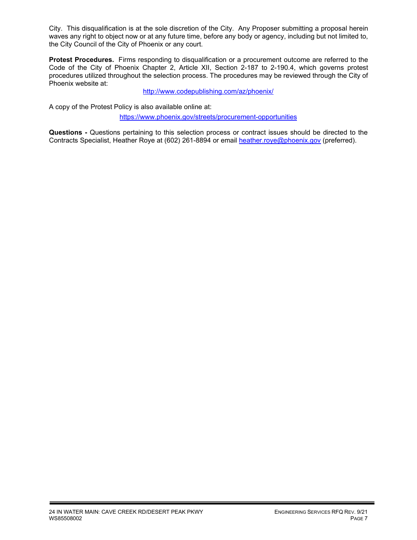City. This disqualification is at the sole discretion of the City. Any Proposer submitting a proposal herein waves any right to object now or at any future time, before any body or agency, including but not limited to, the City Council of the City of Phoenix or any court.

**Protest Procedures.** Firms responding to disqualification or a procurement outcome are referred to the Code of the City of Phoenix Chapter 2, Article XII, Section 2-187 to 2-190.4, which governs protest procedures utilized throughout the selection process. The procedures may be reviewed through the City of Phoenix website at:

<http://www.codepublishing.com/az/phoenix/>

A copy of the Protest Policy is also available online at:

<https://www.phoenix.gov/streets/procurement-opportunities>

**Questions -** Questions pertaining to this selection process or contract issues should be directed to the Contracts Specialist, Heather Roye at (602) 261-8894 or email [heather.roye@phoenix.gov](mailto:heather.roye@phoenix.gov) (preferred).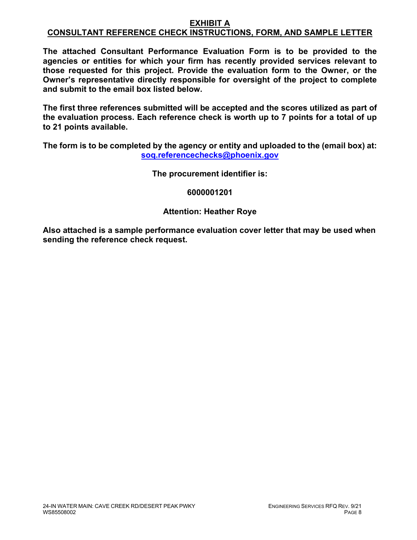### **EXHIBIT A CONSULTANT REFERENCE CHECK INSTRUCTIONS, FORM, AND SAMPLE LETTER**

**The attached Consultant Performance Evaluation Form is to be provided to the agencies or entities for which your firm has recently provided services relevant to those requested for this project. Provide the evaluation form to the Owner, or the Owner's representative directly responsible for oversight of the project to complete and submit to the email box listed below.**

**The first three references submitted will be accepted and the scores utilized as part of the evaluation process. Each reference check is worth up to 7 points for a total of up to 21 points available.**

**The form is to be completed by the agency or entity and uploaded to the (email box) at: [soq.referencechecks@phoenix.gov](mailto:soq.referencechecks@phoenix.gov)**

**The procurement identifier is:**

# **6000001201**

# **Attention: Heather Roye**

**Also attached is a sample performance evaluation cover letter that may be used when sending the reference check request.**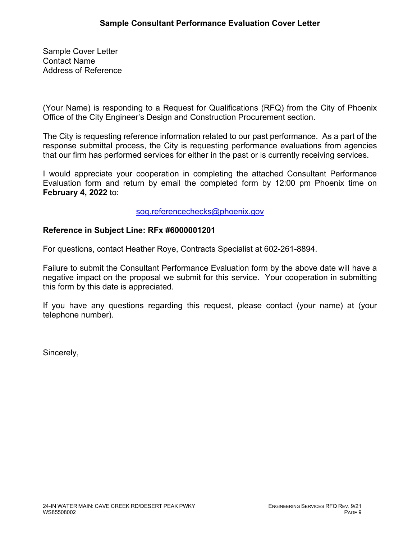Sample Cover Letter Contact Name Address of Reference

(Your Name) is responding to a Request for Qualifications (RFQ) from the City of Phoenix Office of the City Engineer's Design and Construction Procurement section.

The City is requesting reference information related to our past performance. As a part of the response submittal process, the City is requesting performance evaluations from agencies that our firm has performed services for either in the past or is currently receiving services.

I would appreciate your cooperation in completing the attached Consultant Performance Evaluation form and return by email the completed form by 12:00 pm Phoenix time on **February 4, 2022** to:

# [soq.referencechecks@phoenix.gov](mailto:soq.referencechecks@phoenix.gov)

# **Reference in Subject Line: RFx #6000001201**

For questions, contact Heather Roye, Contracts Specialist at 602-261-8894.

Failure to submit the Consultant Performance Evaluation form by the above date will have a negative impact on the proposal we submit for this service. Your cooperation in submitting this form by this date is appreciated.

If you have any questions regarding this request, please contact (your name) at (your telephone number).

Sincerely,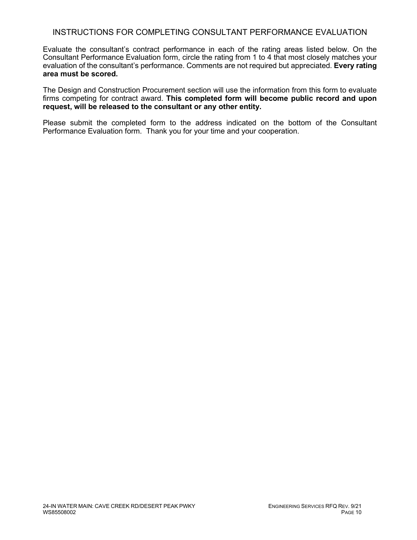# INSTRUCTIONS FOR COMPLETING CONSULTANT PERFORMANCE EVALUATION

Evaluate the consultant's contract performance in each of the rating areas listed below. On the Consultant Performance Evaluation form, circle the rating from 1 to 4 that most closely matches your evaluation of the consultant's performance. Comments are not required but appreciated. **Every rating area must be scored.** 

The Design and Construction Procurement section will use the information from this form to evaluate firms competing for contract award. **This completed form will become public record and upon request, will be released to the consultant or any other entity.**

Please submit the completed form to the address indicated on the bottom of the Consultant Performance Evaluation form. Thank you for your time and your cooperation.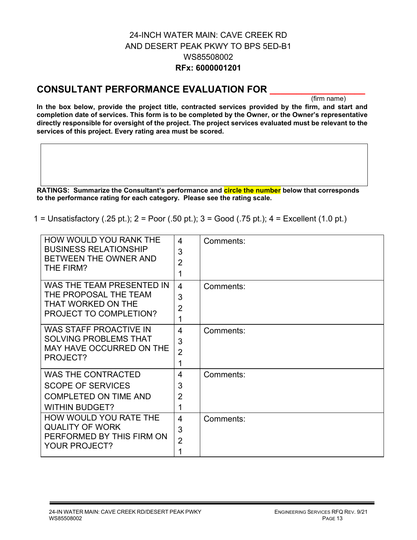# 24-INCH WATER MAIN: CAVE CREEK RD AND DESERT PEAK PKWY TO BPS 5ED-B1 WS85508002 **RFx: 6000001201**

# **CONSULTANT PERFORMANCE EVALUATION FOR \_\_\_\_\_\_\_\_\_\_\_\_\_\_\_\_\_\_**

(firm name)

**In the box below, provide the project title, contracted services provided by the firm, and start and completion date of services. This form is to be completed by the Owner, or the Owner's representative directly responsible for oversight of the project. The project services evaluated must be relevant to the services of this project. Every rating area must be scored.** 

**RATINGS: Summarize the Consultant's performance and circle the number below that corresponds to the performance rating for each category. Please see the rating scale.**

1 = Unsatisfactory (.25 pt.); 2 = Poor (.50 pt.); 3 = Good (.75 pt.); 4 = Excellent (1.0 pt.)

| HOW WOULD YOU RANK THE<br><b>BUSINESS RELATIONSHIP</b><br>BETWEEN THE OWNER AND<br>THE FIRM?                   | 4<br>3<br>$\overline{2}$<br>1              | Comments: |
|----------------------------------------------------------------------------------------------------------------|--------------------------------------------|-----------|
| WAS THE TEAM PRESENTED IN<br>THE PROPOSAL THE TEAM<br>THAT WORKED ON THE<br>PROJECT TO COMPLETION?             | $\overline{4}$<br>3<br>$\overline{2}$<br>1 | Comments: |
| <b>WAS STAFF PROACTIVE IN</b><br><b>SOLVING PROBLEMS THAT</b><br>MAY HAVE OCCURRED ON THE<br>PROJECT?          | 4<br>3<br>$\overline{2}$<br>1              | Comments: |
| <b>WAS THE CONTRACTED</b><br><b>SCOPE OF SERVICES</b><br><b>COMPLETED ON TIME AND</b><br><b>WITHIN BUDGET?</b> | 4<br>3<br>$\overline{2}$<br>1              | Comments: |
| HOW WOULD YOU RATE THE<br><b>QUALITY OF WORK</b><br>PERFORMED BY THIS FIRM ON<br><b>YOUR PROJECT?</b>          | 4<br>3<br>$\overline{2}$<br>1              | Comments: |